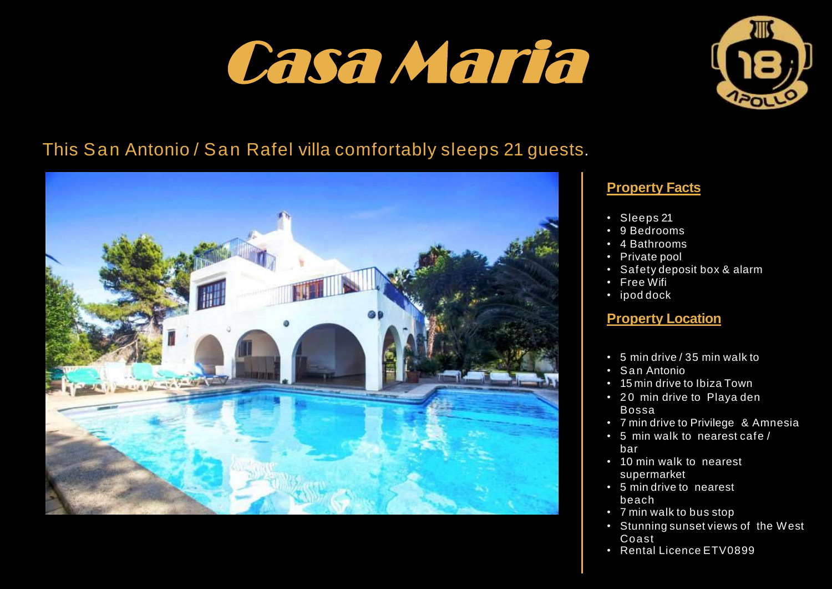# Casa Maria



## This San Antonio / San Rafel villa comfortably sleeps 21 guests.



### **Property Facts**

- Sleeps 21
- 9 Bedrooms
- 4 Bathrooms
- Private pool
- Safety deposit box & alarm
- Free Wifi
- ipod dock

#### **Property Location**

- 5 min drive / 35 min walk to
- San Antonio
- 15 min drive to Ibiza Town
- 20 min drive to Playa den Bossa
- 7 min drive to Privilege & Amnesia
- 5 min walk to nearest cafe/ bar
- 10 min walk to nearest supermarket
- 5 min drive to nearest beach
- 7 min walk to bus stop
- Stunning sunset views of the West Coast
- Rental Licence ETV0899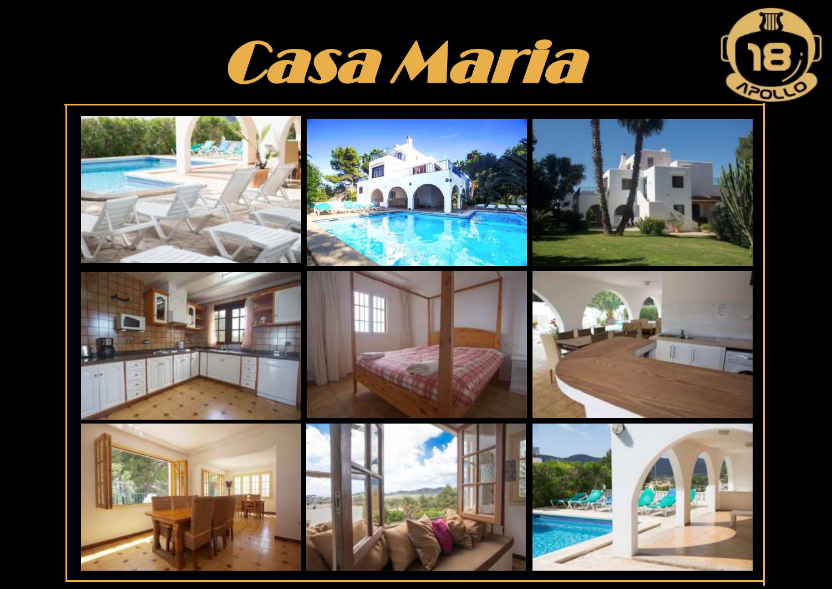



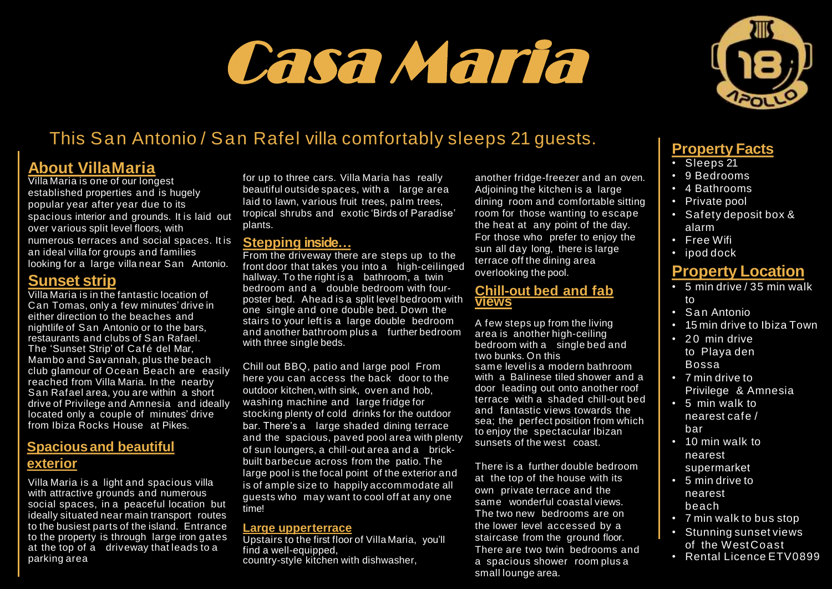# **Villa Maria** Casa Maria



# This San Antonio / San Rafel villa comfortably sleeps 21 guests.

## **About VillaMaria**

Villa Maria is one of our longest established properties and is hugely popular year after year due to its spacious interior and grounds. It is laid out over various split level floors, with numerous terraces and social spaces. It is an ideal villa for groups and families looking for a large villa near San Antonio.

#### **Sunset strip**

Villa Maria is in the fantastic location of Can Tomas, only a few minutes' drive in either direction to the beaches and nightlife of San Antonio or to the bars, restaurants and clubs of San Rafael. The 'Sunset Strip' of Café del Mar. Mambo and Savannah, plus the beach club glamour of Ocean Beach are easily reached from Villa Maria. In the nearby San Rafael area, you are within a short drive of Privilege and Amnesia and ideally located only a couple of minutes' drive from Ibiza Rocks House at Pikes.

### **Spacious and beautiful exterior**

Villa Maria is a light and spacious villa with attractive grounds and numerous social spaces, in a peaceful location but ideally situated near main transport routes to the busiest parts of the island. Entrance to the property is through large iron gates at the top of a driveway that leads to a parking area

for up to three cars. Villa Maria has really beautiful outside spaces, with a large area laid to lawn, various fruit trees, palm trees, tropical shrubs and exotic 'Birds of Paradise' plants.

#### **Stepping inside…**

From the driveway there are steps up to the front door that takes you into a high-ceilinged hallway. To the right is a bathroom, a twin bedroom and a double bedroom with fourposter bed. Ahead is a split level bedroom with one single and one double bed. Down the stairs to your left is a large double bedroom and another bathroom plus a further bedroom with three single beds.

Chill out BBQ, patio and large pool From here you can access the back door to the outdoor kitchen, with sink, oven and hob, washing machine and large fridge for stocking plenty of cold drinks for the outdoor bar. There's a large shaded dining terrace and the spacious, paved pool area with plenty of sun loungers, a chill-out area and a brickbuilt barbecue across from the patio. The large pool is the focal point of the exterior and is of ample size to happily accommodate all guests who may want to cool off at any one time!

#### **Large upperterrace**

Upstairs to the first floor of Villa Maria, you'll find a well-equipped, country-style kitchen with dishwasher,

another fridge-freezer and an oven. Adjoining the kitchen is a large dining room and comfortable sitting room for those wanting to escape the heat at any point of the day. For those who prefer to enjoy the sun all day long, there is large terrace off the dining area overlooking the pool.

#### **Chill-out bed and fab views**

A few steps up from the living area is another high-ceiling bedroom with a single bed and two bunks. On this same level is a modern bathroom with a Balinese tiled shower and a door leading out onto another roof terrace with a shaded chill-out bed and fantastic views towards the sea; the perfect position from which to enjoy the spectacular Ibizan sunsets of the west coast.

There is a further double bedroom at the top of the house with its own private terrace and the same wonderful coastal views. The two new bedrooms are on the lower level accessed by a staircase from the ground floor. There are two twin bedrooms and a spacious shower room plus a small lounge area.

## **Property Facts**

- Sleeps 21
- 9 Bedrooms
- 4 Bathrooms
- Private pool
- Safety deposit box & alarm
- Free Wifi
- ipod dock

## **Property Location**

- 5 min drive / 35 min walk to
- San Antonio
- 15 min drive to Ibiza Town
- 20 min drive to Playa den Bossa
- 7 min drive to Privilege & Amnesia
- 5 min walk to nearest cafe / bar
- 10 min walk to nearest supermarket
- 5 min drive to nearest beach
- 7 min walk to bus stop
- Stunning sunset views of the WestCoast
- Rental Licence FTV0899